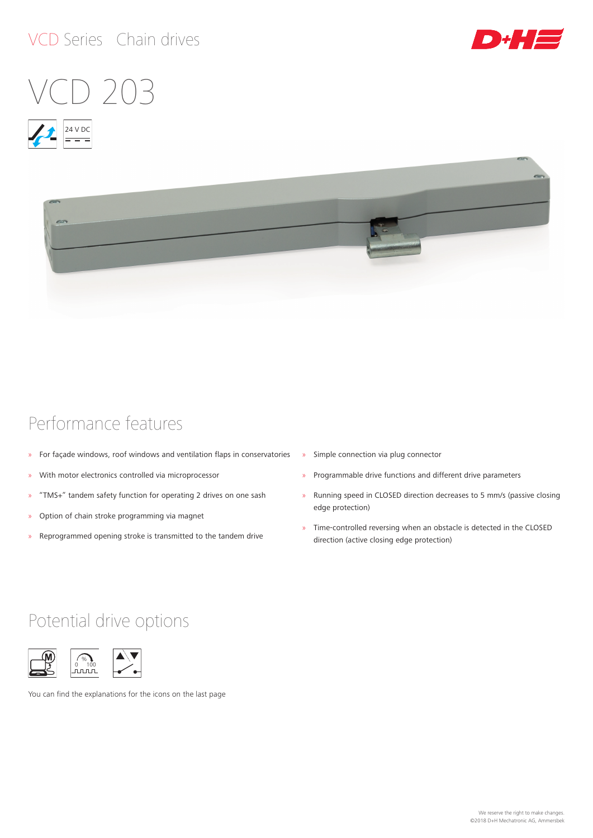# VCD Series Chain drives











# Performance features

- » For façade windows, roof windows and ventilation flaps in conservatories
- » With motor electronics controlled via microprocessor
- » "TMS+" tandem safety function for operating 2 drives on one sash
- » Option of chain stroke programming via magnet
- » Reprogrammed opening stroke is transmitted to the tandem drive
- » Simple connection via plug connector
- » Programmable drive functions and different drive parameters
- » Running speed in CLOSED direction decreases to 5 mm/s (passive closing edge protection)
- » Time-controlled reversing when an obstacle is detected in the CLOSED direction (active closing edge protection)

# Potential drive options



You can find the explanations for the icons on the last page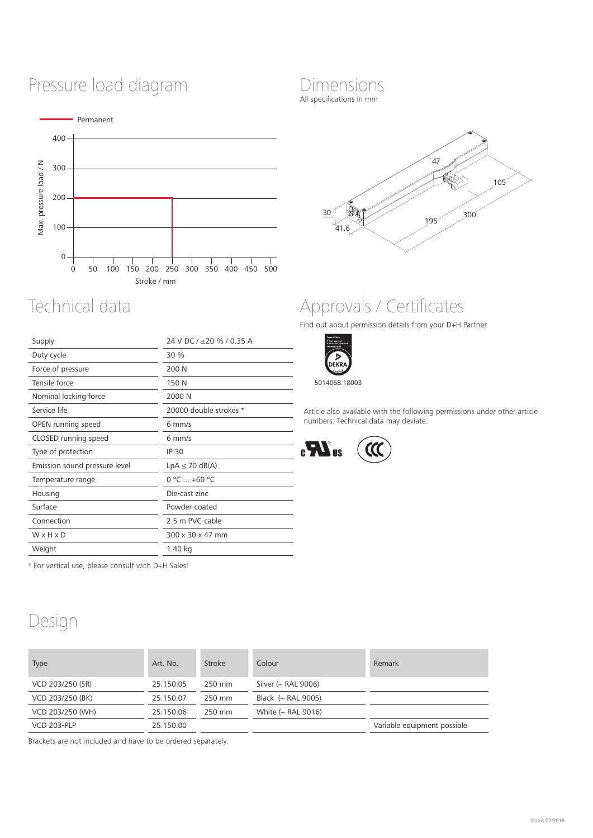# Pressure load diagram



| Supply                        | 24 V DC / +20 % / 0.35 A |  |
|-------------------------------|--------------------------|--|
| Duty cycle                    | 30 %                     |  |
| Force of pressure             | 200 N                    |  |
| Tensile force                 | 150 N                    |  |
| Nominal locking force         | 2000 N                   |  |
| Service life                  | 20000 double strokes *   |  |
| OPEN running speed            | $6$ mm/s                 |  |
| CLOSED running speed          | $6 \text{ mm/s}$         |  |
| Type of protection            | <b>IP 30</b>             |  |
| Emission sound pressure level | $LpA \leq 70$ dB(A)      |  |
| Temperature range             | $0 °C  +60 °C$           |  |
| Housing                       | Die-cast zinc            |  |
| Surface                       | Powder-coated            |  |
| Connection                    | 2.5 m PVC-cable          |  |
| WxHxD                         | 300 x 30 x 47 mm         |  |
| Weight                        | 1.40 kg                  |  |
|                               |                          |  |

\* For vertical use, please consult with D+H Sales!

# Design

| <b>Type</b>        | Art. No.  | Stroke | Colour                       | Remark                      |
|--------------------|-----------|--------|------------------------------|-----------------------------|
| VCD 203/250 (SR)   | 25.150.05 | 250 mm | Silver ( $\sim$ RAL 9006)    |                             |
| VCD 203/250 (BK)   | 25.150.07 | 250 mm | Black $\left(\sim$ RAL 9005) |                             |
| VCD 203/250 (WH)   | 25.150.06 | 250 mm | White $($ RAL 9016)          |                             |
| <b>VCD 203-PLP</b> | 25.150.00 |        |                              | Variable equipment possible |
|                    |           |        |                              |                             |

Brackets are not included and have to be ordered separately.

# Dimensions

All specifications in mm



# Technical data Approvals / Certificates

Find out about permission details from your D+H Partner



5014068.18003

Article also available with the following permissions under other article numbers. Technical data may deviate.